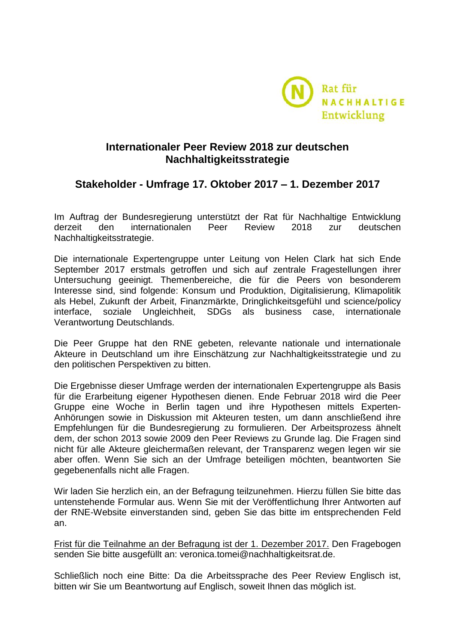

## **Internationaler Peer Review 2018 zur deutschen Nachhaltigkeitsstrategie**

# **Stakeholder - Umfrage 17. Oktober 2017 – 1. Dezember 2017**

Im Auftrag der Bundesregierung unterstützt der Rat für Nachhaltige Entwicklung derzeit den internationalen Peer Review 2018 zur deutschen Nachhaltigkeitsstrategie.

Die internationale Expertengruppe unter Leitung von Helen Clark hat sich Ende September 2017 erstmals getroffen und sich auf zentrale Fragestellungen ihrer Untersuchung geeinigt. Themenbereiche, die für die Peers von besonderem Interesse sind, sind folgende: Konsum und Produktion, Digitalisierung, Klimapolitik als Hebel, Zukunft der Arbeit, Finanzmärkte, Dringlichkeitsgefühl und science/policy interface, soziale Ungleichheit, SDGs als business case, internationale Verantwortung Deutschlands.

Die Peer Gruppe hat den RNE gebeten, relevante nationale und internationale Akteure in Deutschland um ihre Einschätzung zur Nachhaltigkeitsstrategie und zu den politischen Perspektiven zu bitten.

Die Ergebnisse dieser Umfrage werden der internationalen Expertengruppe als Basis für die Erarbeitung eigener Hypothesen dienen. Ende Februar 2018 wird die Peer Gruppe eine Woche in Berlin tagen und ihre Hypothesen mittels Experten-Anhörungen sowie in Diskussion mit Akteuren testen, um dann anschließend ihre Empfehlungen für die Bundesregierung zu formulieren. Der Arbeitsprozess ähnelt dem, der schon 2013 sowie 2009 den Peer Reviews zu Grunde lag. Die Fragen sind nicht für alle Akteure gleichermaßen relevant, der Transparenz wegen legen wir sie aber offen. Wenn Sie sich an der Umfrage beteiligen möchten, beantworten Sie gegebenenfalls nicht alle Fragen.

Wir laden Sie herzlich ein, an der Befragung teilzunehmen. Hierzu füllen Sie bitte das untenstehende Formular aus. Wenn Sie mit der Veröffentlichung Ihrer Antworten auf der RNE-Website einverstanden sind, geben Sie das bitte im entsprechenden Feld an.

Frist für die Teilnahme an der Befragung ist der 1. Dezember 2017. Den Fragebogen senden Sie bitte ausgefüllt an: veronica.tomei@nachhaltigkeitsrat.de.

Schließlich noch eine Bitte: Da die Arbeitssprache des Peer Review Englisch ist, bitten wir Sie um Beantwortung auf Englisch, soweit Ihnen das möglich ist.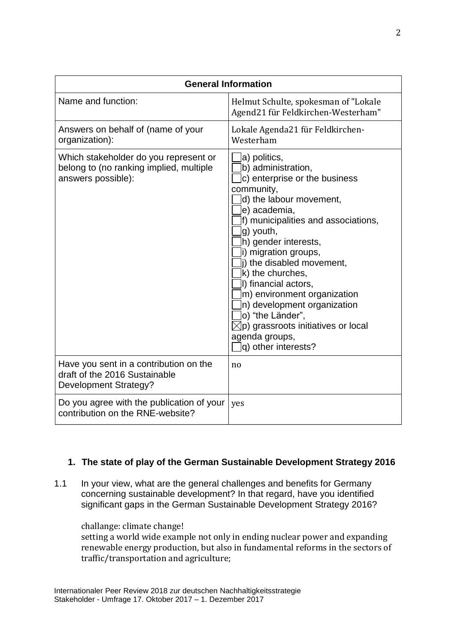| <b>General Information</b>                                                                              |                                                                                                                                                                                                                                                                                                                                                                                                                                                                                        |
|---------------------------------------------------------------------------------------------------------|----------------------------------------------------------------------------------------------------------------------------------------------------------------------------------------------------------------------------------------------------------------------------------------------------------------------------------------------------------------------------------------------------------------------------------------------------------------------------------------|
| Name and function:                                                                                      | Helmut Schulte, spokesman of "Lokale<br>Agend21 für Feldkirchen-Westerham"                                                                                                                                                                                                                                                                                                                                                                                                             |
| Answers on behalf of (name of your<br>organization):                                                    | Lokale Agenda21 für Feldkirchen-<br>Westerham                                                                                                                                                                                                                                                                                                                                                                                                                                          |
| Which stakeholder do you represent or<br>belong to (no ranking implied, multiple<br>answers possible):  | a) politics,<br>b) administration,<br>c) enterprise or the business<br>community,<br>d) the labour movement,<br>e) academia,<br>f) municipalities and associations,<br>g) youth,<br>h) gender interests,<br>i) migration groups,<br>i) the disabled movement,<br>k) the churches,<br>I) financial actors,<br>m) environment organization<br>n) development organization<br>o) "the Länder",<br>$\boxtimes$ p) grassroots initiatives or local<br>agenda groups,<br>q) other interests? |
| Have you sent in a contribution on the<br>draft of the 2016 Sustainable<br><b>Development Strategy?</b> | no                                                                                                                                                                                                                                                                                                                                                                                                                                                                                     |
| Do you agree with the publication of your<br>contribution on the RNE-website?                           | yes                                                                                                                                                                                                                                                                                                                                                                                                                                                                                    |

### **1. The state of play of the German Sustainable Development Strategy 2016**

1.1 In your view, what are the general challenges and benefits for Germany concerning sustainable development? In that regard, have you identified significant gaps in the German Sustainable Development Strategy 2016?

challange: climate change! setting a world wide example not only in ending nuclear power and expanding renewable energy production, but also in fundamental reforms in the sectors of traffic/transportation and agriculture;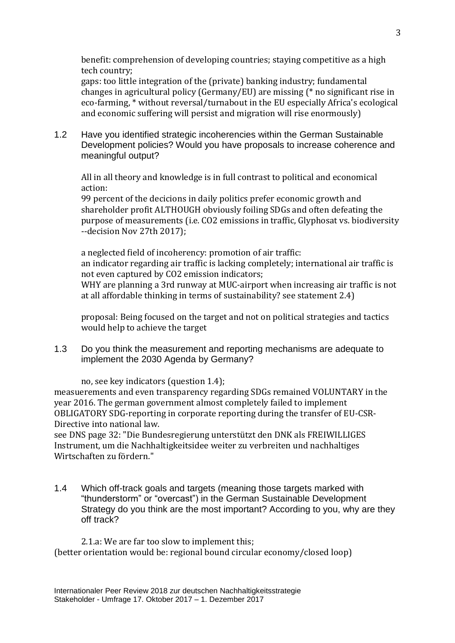benefit: comprehension of developing countries; staying competitive as a high tech country;

gaps: too little integration of the (private) banking industry; fundamental changes in agricultural policy (Germany/EU) are missing (\* no significant rise in eco-farming, \* without reversal/turnabout in the EU especially Africa's ecological and economic suffering will persist and migration will rise enormously)

1.2 Have you identified strategic incoherencies within the German Sustainable Development policies? Would you have proposals to increase coherence and meaningful output?

All in all theory and knowledge is in full contrast to political and economical action:

99 percent of the decicions in daily politics prefer economic growth and shareholder profit ALTHOUGH obviously foiling SDGs and often defeating the purpose of measurements (i.e. CO2 emissions in traffic, Glyphosat vs. biodiversity --decision Nov 27th 2017);

a neglected field of incoherency: promotion of air traffic: an indicator regarding air traffic is lacking completely; international air traffic is not even captured by CO2 emission indicators; WHY are planning a 3rd runway at MUC-airport when increasing air traffic is not at all affordable thinking in terms of sustainability? see statement 2.4)

proposal: Being focused on the target and not on political strategies and tactics would help to achieve the target

1.3 Do you think the measurement and reporting mechanisms are adequate to implement the 2030 Agenda by Germany?

no, see key indicators (question 1.4);

measuerements and even transparency regarding SDGs remained VOLUNTARY in the year 2016. The german government almost completely failed to implement OBLIGATORY SDG-reporting in corporate reporting during the transfer of EU-CSR-Directive into national law.

see DNS page 32: "Die Bundesregierung unterstützt den DNK als FREIWILLIGES Instrument, um die Nachhaltigkeitsidee weiter zu verbreiten und nachhaltiges Wirtschaften zu fördern."

1.4 Which off-track goals and targets (meaning those targets marked with "thunderstorm" or "overcast") in the German Sustainable Development Strategy do you think are the most important? According to you, why are they off track?

2.1.a: We are far too slow to implement this; (better orientation would be: regional bound circular economy/closed loop)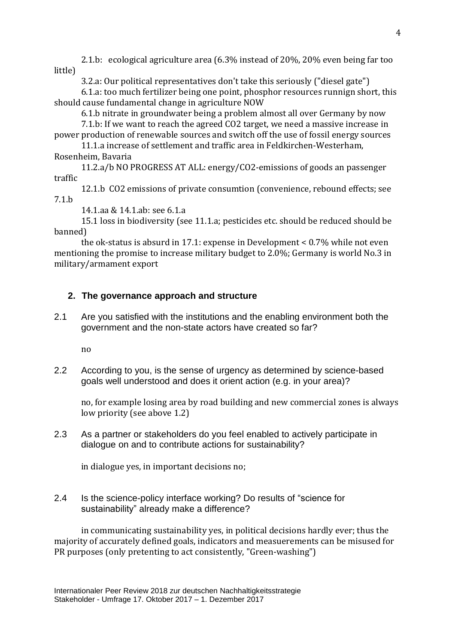2.1.b: ecological agriculture area (6.3% instead of 20%, 20% even being far too little)

3.2.a: Our political representatives don't take this seriously ("diesel gate")

6.1.a: too much fertilizer being one point, phosphor resources runnign short, this should cause fundamental change in agriculture NOW

6.1.b nitrate in groundwater being a problem almost all over Germany by now

7.1.b: If we want to reach the agreed CO2 target, we need a massive increase in power production of renewable sources and switch off the use of fossil energy sources

11.1.a increase of settlement and traffic area in Feldkirchen-Westerham, Rosenheim, Bavaria

11.2.a/b NO PROGRESS AT ALL: energy/CO2-emissions of goods an passenger traffic

12.1.b CO2 emissions of private consumtion (convenience, rebound effects; see 7.1.b

14.1.aa & 14.1.ab: see 6.1.a

15.1 loss in biodiversity (see 11.1.a; pesticides etc. should be reduced should be banned)

the ok-status is absurd in 17.1: expense in Development < 0.7% while not even mentioning the promise to increase military budget to 2.0%; Germany is world No.3 in military/armament export

### **2. The governance approach and structure**

2.1 Are you satisfied with the institutions and the enabling environment both the government and the non-state actors have created so far?

no

2.2 According to you, is the sense of urgency as determined by science-based goals well understood and does it orient action (e.g. in your area)?

no, for example losing area by road building and new commercial zones is always low priority (see above 1.2)

2.3 As a partner or stakeholders do you feel enabled to actively participate in dialogue on and to contribute actions for sustainability?

in dialogue yes, in important decisions no;

2.4 Is the science-policy interface working? Do results of "science for sustainability" already make a difference?

in communicating sustainability yes, in political decisions hardly ever; thus the majority of accurately defined goals, indicators and measuerements can be misused for PR purposes (only pretenting to act consistently, "Green-washing")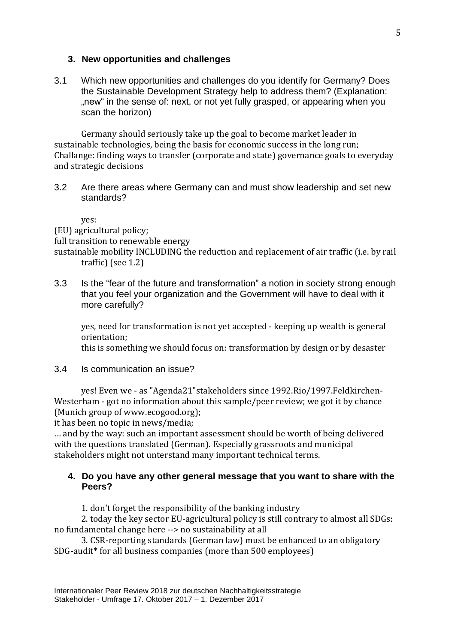#### **3. New opportunities and challenges**

3.1 Which new opportunities and challenges do you identify for Germany? Does the Sustainable Development Strategy help to address them? (Explanation: "new" in the sense of: next, or not yet fully grasped, or appearing when you scan the horizon)

Germany should seriously take up the goal to become market leader in sustainable technologies, being the basis for economic success in the long run; Challange: finding ways to transfer (corporate and state) governance goals to everyday and strategic decisions

3.2 Are there areas where Germany can and must show leadership and set new standards?

yes:

(EU) agricultural policy;

full transition to renewable energy

sustainable mobility INCLUDING the reduction and replacement of air traffic (i.e. by rail traffic) (see 1.2)

3.3 Is the "fear of the future and transformation" a notion in society strong enough that you feel your organization and the Government will have to deal with it more carefully?

yes, need for transformation is not yet accepted - keeping up wealth is general orientation;

this is something we should focus on: transformation by design or by desaster

3.4 Is communication an issue?

yes! Even we - as "Agenda21"stakeholders since 1992.Rio/1997.Feldkirchen-Westerham - got no information about this sample/peer review; we got it by chance (Munich group of www.ecogood.org);

it has been no topic in news/media;

… and by the way: such an important assessment should be worth of being delivered with the questions translated (German). Especially grassroots and municipal stakeholders might not unterstand many important technical terms.

#### **4. Do you have any other general message that you want to share with the Peers?**

1. don't forget the responsibility of the banking industry

2. today the key sector EU-agricultural policy is still contrary to almost all SDGs: no fundamental change here --> no sustainability at all

3. CSR-reporting standards (German law) must be enhanced to an obligatory SDG-audit\* for all business companies (more than 500 employees)